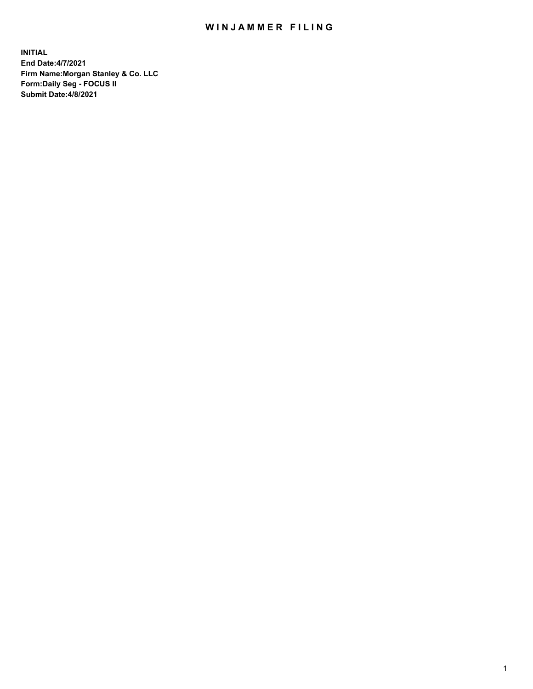## WIN JAMMER FILING

**INITIAL End Date:4/7/2021 Firm Name:Morgan Stanley & Co. LLC Form:Daily Seg - FOCUS II Submit Date:4/8/2021**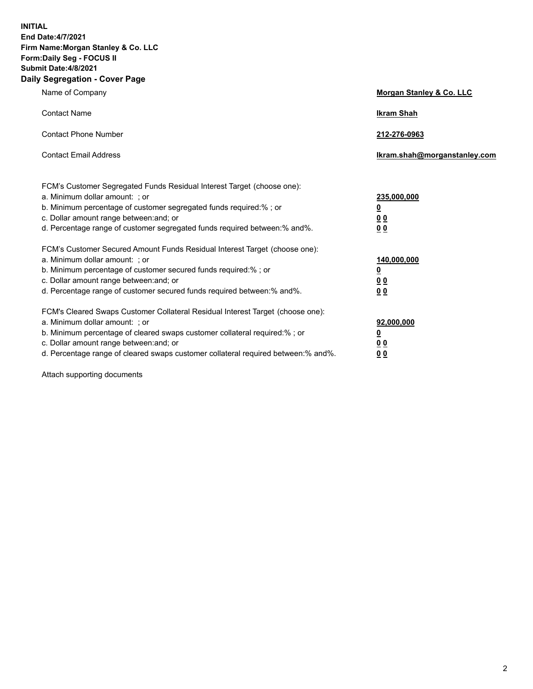**INITIAL End Date:4/7/2021 Firm Name:Morgan Stanley & Co. LLC Form:Daily Seg - FOCUS II Submit Date:4/8/2021 Daily Segregation - Cover Page**

| Name of Company                                                                                                                                                                                                                                                                                                                | Morgan Stanley & Co. LLC                                   |
|--------------------------------------------------------------------------------------------------------------------------------------------------------------------------------------------------------------------------------------------------------------------------------------------------------------------------------|------------------------------------------------------------|
| <b>Contact Name</b>                                                                                                                                                                                                                                                                                                            | <b>Ikram Shah</b>                                          |
| <b>Contact Phone Number</b>                                                                                                                                                                                                                                                                                                    | 212-276-0963                                               |
| <b>Contact Email Address</b>                                                                                                                                                                                                                                                                                                   | lkram.shah@morganstanley.com                               |
| FCM's Customer Segregated Funds Residual Interest Target (choose one):<br>a. Minimum dollar amount: ; or<br>b. Minimum percentage of customer segregated funds required:% ; or<br>c. Dollar amount range between: and; or<br>d. Percentage range of customer segregated funds required between:% and%.                         | 235,000,000<br><u>0</u><br><u>00</u><br>0 <sup>0</sup>     |
| FCM's Customer Secured Amount Funds Residual Interest Target (choose one):<br>a. Minimum dollar amount: ; or<br>b. Minimum percentage of customer secured funds required:%; or<br>c. Dollar amount range between: and; or<br>d. Percentage range of customer secured funds required between:% and%.                            | 140,000,000<br><u>0</u><br><u>0 0</u><br>0 Q               |
| FCM's Cleared Swaps Customer Collateral Residual Interest Target (choose one):<br>a. Minimum dollar amount: ; or<br>b. Minimum percentage of cleared swaps customer collateral required:% ; or<br>c. Dollar amount range between: and; or<br>d. Percentage range of cleared swaps customer collateral required between:% and%. | 92,000,000<br><u>0</u><br>0 <sup>0</sup><br>0 <sub>0</sub> |

Attach supporting documents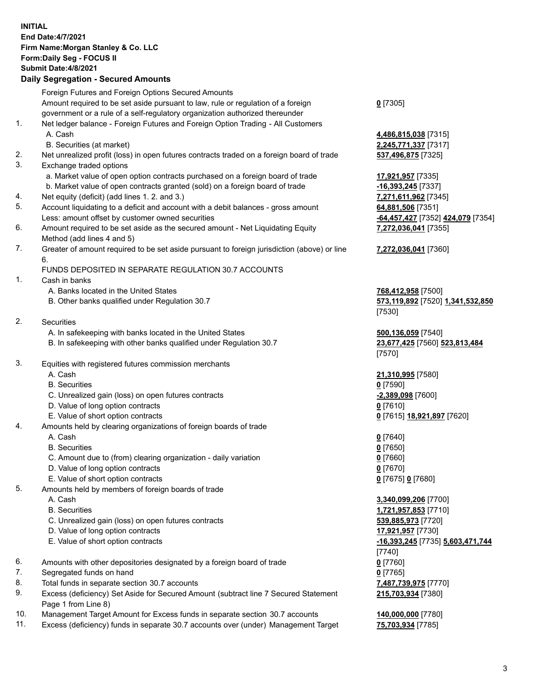## **INITIAL End Date:4/7/2021 Firm Name:Morgan Stanley & Co. LLC Form:Daily Seg - FOCUS II Submit Date:4/8/2021 Daily Segregation - Secured Amounts**

Foreign Futures and Foreign Options Secured Amounts Amount required to be set aside pursuant to law, rule or regulation of a foreign government or a rule of a self-regulatory organization authorized thereunder 1. Net ledger balance - Foreign Futures and Foreign Option Trading - All Customers A. Cash **4,486,815,038** [7315] B. Securities (at market) **2,245,771,337** [7317] 2. Net unrealized profit (loss) in open futures contracts traded on a foreign board of trade **537,496,875** [7325] 3. Exchange traded options a. Market value of open option contracts purchased on a foreign board of trade **17,921,957** [7335] b. Market value of open contracts granted (sold) on a foreign board of trade **-16,393,245** [7337] 4. Net equity (deficit) (add lines 1. 2. and 3.) **7,271,611,962** [7345] 5. Account liquidating to a deficit and account with a debit balances - gross amount **64,881,506** [7351] Less: amount offset by customer owned securities **-64,457,427** [7352] **424,079** [7354] 6. Amount required to be set aside as the secured amount - Net Liquidating Equity Method (add lines 4 and 5) 7. Greater of amount required to be set aside pursuant to foreign jurisdiction (above) or line 6. FUNDS DEPOSITED IN SEPARATE REGULATION 30.7 ACCOUNTS 1. Cash in banks A. Banks located in the United States **768,412,958** [7500] B. Other banks qualified under Regulation 30.7 **573,119,892** [7520] **1,341,532,850** 2. Securities A. In safekeeping with banks located in the United States **500,136,059** [7540] B. In safekeeping with other banks qualified under Regulation 30.7 **23,677,425** [7560] **523,813,484** 3. Equities with registered futures commission merchants A. Cash **21,310,995** [7580] B. Securities **0** [7590] C. Unrealized gain (loss) on open futures contracts **-2,389,098** [7600] D. Value of long option contracts **0** [7610] E. Value of short option contracts **0** [7615] **18,921,897** [7620] 4. Amounts held by clearing organizations of foreign boards of trade A. Cash **0** [7640] B. Securities **0** [7650] C. Amount due to (from) clearing organization - daily variation **0** [7660] D. Value of long option contracts **0** [7670] E. Value of short option contracts **0** [7675] **0** [7680]

- 5. Amounts held by members of foreign boards of trade
	-
	-
	- C. Unrealized gain (loss) on open futures contracts **539,885,973** [7720]
	- D. Value of long option contracts **17,921,957** [7730]
	- E. Value of short option contracts **-16,393,245** [7735] **5,603,471,744**
- 6. Amounts with other depositories designated by a foreign board of trade **0** [7760]
- 7. Segregated funds on hand **0** [7765]
- 8. Total funds in separate section 30.7 accounts **7,487,739,975** [7770]
- 9. Excess (deficiency) Set Aside for Secured Amount (subtract line 7 Secured Statement Page 1 from Line 8)
- 10. Management Target Amount for Excess funds in separate section 30.7 accounts **140,000,000** [7780]
- 11. Excess (deficiency) funds in separate 30.7 accounts over (under) Management Target **75,703,934** [7785]

**0** [7305]

**7,272,036,041** [7355]

## **7,272,036,041** [7360]

[7530]

[7570]

 A. Cash **3,340,099,206** [7700] B. Securities **1,721,957,853** [7710] [7740] **215,703,934** [7380]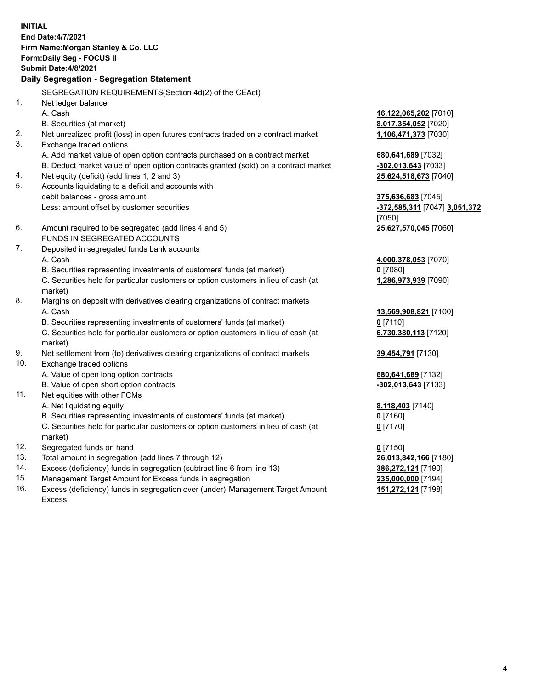**INITIAL End Date:4/7/2021 Firm Name:Morgan Stanley & Co. LLC Form:Daily Seg - FOCUS II Submit Date:4/8/2021 Daily Segregation - Segregation Statement** SEGREGATION REQUIREMENTS(Section 4d(2) of the CEAct) 1. Net ledger balance A. Cash **16,122,065,202** [7010] B. Securities (at market) **8,017,354,052** [7020] 2. Net unrealized profit (loss) in open futures contracts traded on a contract market **1,106,471,373** [7030] 3. Exchange traded options A. Add market value of open option contracts purchased on a contract market **680,641,689** [7032] B. Deduct market value of open option contracts granted (sold) on a contract market **-302,013,643** [7033] 4. Net equity (deficit) (add lines 1, 2 and 3) **25,624,518,673** [7040] 5. Accounts liquidating to a deficit and accounts with debit balances - gross amount **375,636,683** [7045] Less: amount offset by customer securities **-372,585,311** [7047] **3,051,372** [7050] 6. Amount required to be segregated (add lines 4 and 5) **25,627,570,045** [7060] FUNDS IN SEGREGATED ACCOUNTS 7. Deposited in segregated funds bank accounts A. Cash **4,000,378,053** [7070] B. Securities representing investments of customers' funds (at market) **0** [7080] C. Securities held for particular customers or option customers in lieu of cash (at market) **1,286,973,939** [7090] 8. Margins on deposit with derivatives clearing organizations of contract markets A. Cash **13,569,908,821** [7100] B. Securities representing investments of customers' funds (at market) **0** [7110] C. Securities held for particular customers or option customers in lieu of cash (at market) **6,730,380,113** [7120] 9. Net settlement from (to) derivatives clearing organizations of contract markets **39,454,791** [7130] 10. Exchange traded options A. Value of open long option contracts **680,641,689** [7132] B. Value of open short option contracts **-302,013,643** [7133] 11. Net equities with other FCMs A. Net liquidating equity **8,118,403** [7140] B. Securities representing investments of customers' funds (at market) **0** [7160] C. Securities held for particular customers or option customers in lieu of cash (at market) **0** [7170] 12. Segregated funds on hand **0** [7150] 13. Total amount in segregation (add lines 7 through 12) **26,013,842,166** [7180] 14. Excess (deficiency) funds in segregation (subtract line 6 from line 13) **386,272,121** [7190] 15. Management Target Amount for Excess funds in segregation **235,000,000** [7194]

16. Excess (deficiency) funds in segregation over (under) Management Target Amount Excess

**151,272,121** [7198]